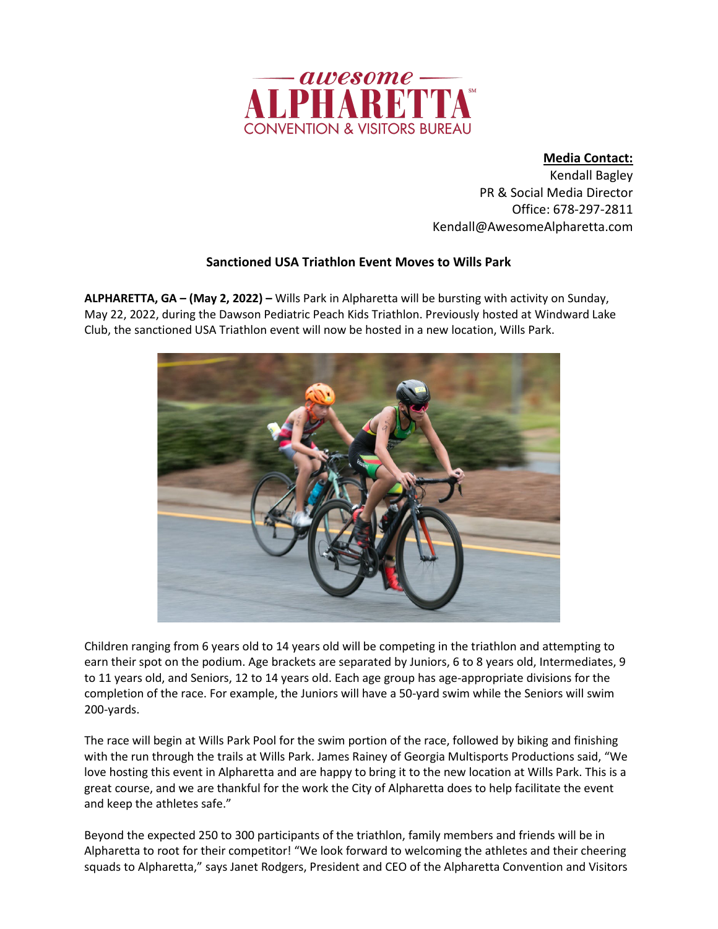

**Media Contact:**

Kendall Bagley PR & Social Media Director Office: 678-297-2811 Kendall@AwesomeAlpharetta.com

## **Sanctioned USA Triathlon Event Moves to Wills Park**

**ALPHARETTA, GA – (May 2, 2022) –** Wills Park in Alpharetta will be bursting with activity on Sunday, May 22, 2022, during the Dawson Pediatric Peach Kids Triathlon. Previously hosted at Windward Lake Club, the sanctioned USA Triathlon event will now be hosted in a new location, Wills Park.



Children ranging from 6 years old to 14 years old will be competing in the triathlon and attempting to earn their spot on the podium. Age brackets are separated by Juniors, 6 to 8 years old, Intermediates, 9 to 11 years old, and Seniors, 12 to 14 years old. Each age group has age-appropriate divisions for the completion of the race. For example, the Juniors will have a 50-yard swim while the Seniors will swim 200-yards.

The race will begin at Wills Park Pool for the swim portion of the race, followed by biking and finishing with the run through the trails at Wills Park. James Rainey of Georgia Multisports Productions said, "We love hosting this event in Alpharetta and are happy to bring it to the new location at Wills Park. This is a great course, and we are thankful for the work the City of Alpharetta does to help facilitate the event and keep the athletes safe."

Beyond the expected 250 to 300 participants of the triathlon, family members and friends will be in Alpharetta to root for their competitor! "We look forward to welcoming the athletes and their cheering squads to Alpharetta," says Janet Rodgers, President and CEO of the Alpharetta Convention and Visitors